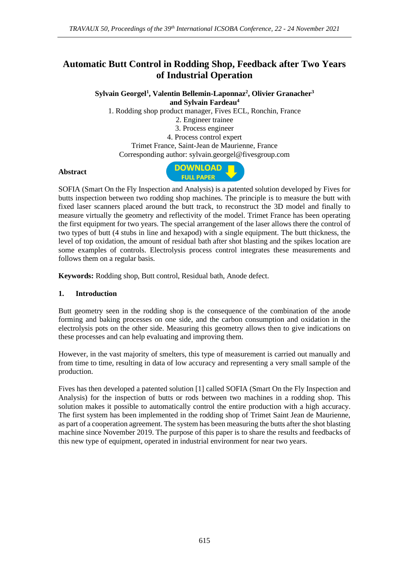# **Automatic Butt Control in Rodding Shop, Feedback after Two Years of Industrial Operation**

**Sylvain Georgel<sup>1</sup> , Valentin Bellemin-Laponnaz<sup>2</sup> , Olivier Granacher<sup>3</sup> and Sylvain Fardeau<sup>4</sup>**

1. Rodding shop product manager, Fives ECL, Ronchin, France

2. Engineer trainee

3. Process engineer 4. Process control expert

Trimet France, Saint-Jean de Maurienne, France

Corresponding author: sylvain.georgel@fivesgroup.com

#### **Abstract**



SOFIA (Smart On the Fly Inspection and Analysis) is a patented solution developed by Fives for butts inspection between two rodding shop machines. The principle is to measure the butt with fixed laser scanners placed around the butt track, to reconstruct the 3D model and finally to measure virtually the geometry and reflectivity of the model. Trimet France has been operating the first equipment for two years. The special arrangement of the laser allows there the control of two types of butt (4 stubs in line and hexapod) with a single equipment. The butt thickness, the level of top oxidation, the amount of residual bath after shot blasting and the spikes location are some examples of controls. Electrolysis process control integrates these measurements and follows them on a regular basis.

**Keywords:** Rodding shop, Butt control, Residual bath, Anode defect.

### **1. Introduction**

Butt geometry seen in the rodding shop is the consequence of the combination of the anode forming and baking processes on one side, and the carbon consumption and oxidation in the electrolysis pots on the other side. Measuring this geometry allows then to give indications on these processes and can help evaluating and improving them.

However, in the vast majority of smelters, this type of measurement is carried out manually and from time to time, resulting in data of low accuracy and representing a very small sample of the production.

Fives has then developed a patented solution [1] called SOFIA (Smart On the Fly Inspection and Analysis) for the inspection of butts or rods between two machines in a rodding shop. This solution makes it possible to automatically control the entire production with a high accuracy. The first system has been implemented in the rodding shop of Trimet Saint Jean de Maurienne, as part of a cooperation agreement. The system has been measuring the butts after the shot blasting machine since November 2019. The purpose of this paper is to share the results and feedbacks of this new type of equipment, operated in industrial environment for near two years.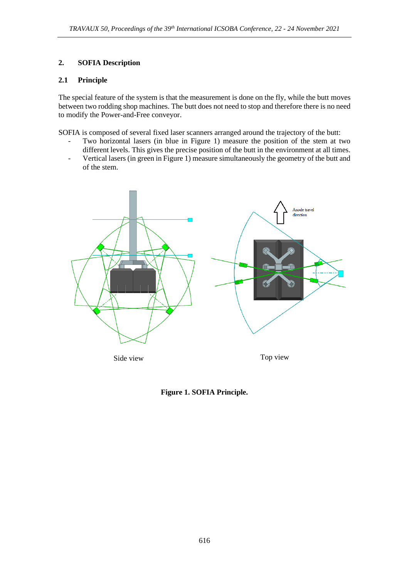# **2. SOFIA Description**

#### **2.1 Principle**

The special feature of the system is that the measurement is done on the fly, while the butt moves between two rodding shop machines. The butt does not need to stop and therefore there is no need to modify the Power-and-Free conveyor.

SOFIA is composed of several fixed laser scanners arranged around the trajectory of the butt:

- Two horizontal lasers (in blue in Figure 1) measure the position of the stem at two different levels. This gives the precise position of the butt in the environment at all times.
- Vertical lasers (in green in Figure 1) measure simultaneously the geometry of the butt and of the stem.



Side view Top view Top view